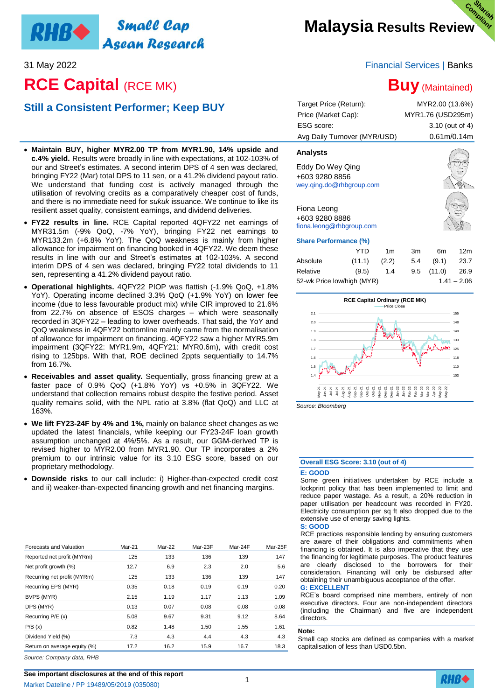## **Small Cap** RHB**+** Asean Research

# **RCE Capital (RCE MK)**

# **Still a Consistent Performer; Keep BUY**

- **Maintain BUY, higher MYR2.00 TP from MYR1.90, 14% upside and c.4% yield.** Results were broadly in line with expectations, at 102-103% of our and Street's estimates. A second interim DPS of 4 sen was declared, bringing FY22 (Mar) total DPS to 11 sen, or a 41.2% dividend payout ratio. We understand that funding cost is actively managed through the utilisation of revolving credits as a comparatively cheaper cost of funds, and there is no immediate need for *sukuk* issuance. We continue to like its resilient asset quality, consistent earnings, and dividend deliveries.
- **FY22 results in line.** RCE Capital reported 4QFY22 net earnings of MYR31.5m (-9% QoQ, -7% YoY), bringing FY22 net earnings to MYR133.2m (+6.8% YoY). The QoQ weakness is mainly from higher allowance for impairment on financing booked in 4QFY22. We deem these results in line with our and Street's estimates at 102-103%. A second interim DPS of 4 sen was declared, bringing FY22 total dividends to 11 sen, representing a 41.2% dividend payout ratio.
- **Operational highlights.** 4QFY22 PIOP was flattish (-1.9% QoQ, +1.8% YoY). Operating income declined 3.3% QoQ (+1.9% YoY) on lower fee income (due to less favourable product mix) while CIR improved to 21.6% from 22.7% on absence of ESOS charges – which were seasonally recorded in 3QFY22 – leading to lower overheads. That said, the YoY and QoQ weakness in 4QFY22 bottomline mainly came from the normalisation of allowance for impairment on financing. 4QFY22 saw a higher MYR5.9m impairment (3QFY22: MYR1.9m, 4QFY21: MYR0.6m), with credit cost rising to 125bps. With that, ROE declined 2ppts sequentially to 14.7% from 16.7%.
- **Receivables and asset quality.** Sequentially, gross financing grew at a faster pace of 0.9% QoQ (+1.8% YoY) vs +0.5% in 3QFY22. We understand that collection remains robust despite the festive period. Asset quality remains solid, with the NPL ratio at 3.8% (flat QoQ) and LLC at 163%.
- **We lift FY23-24F by 4% and 1%,** mainly on balance sheet changes as we updated the latest financials, while keeping our FY23-24F loan growth assumption unchanged at 4%/5%. As a result, our GGM-derived TP is revised higher to MYR2.00 from MYR1.90. Our TP incorporates a 2% premium to our intrinsic value for its 3.10 ESG score, based on our proprietary methodology.
- **Downside risks** to our call include: i) Higher-than-expected credit cost and ii) weaker-than-expected financing growth and net financing margins.

| Forecasts and Valuation      | Mar-21 | Mar-22 | Mar-23F | Mar-24F | Mar-25F |
|------------------------------|--------|--------|---------|---------|---------|
| Reported net profit (MYRm)   | 125    | 133    | 136     | 139     | 147     |
| Net profit growth (%)        | 12.7   | 6.9    | 2.3     | 2.0     | 5.6     |
| Recurring net profit (MYRm)  | 125    | 133    | 136     | 139     | 147     |
| Recurring EPS (MYR)          | 0.35   | 0.18   | 0.19    | 0.19    | 0.20    |
| BVPS (MYR)                   | 2.15   | 1.19   | 1.17    | 1.13    | 1.09    |
| DPS (MYR)                    | 0.13   | 0.07   | 0.08    | 0.08    | 0.08    |
| Recurring P/E (x)            | 5.08   | 9.67   | 9.31    | 9.12    | 8.64    |
| P/B(x)                       | 0.82   | 1.48   | 1.50    | 1.55    | 1.61    |
| Dividend Yield (%)           | 7.3    | 4.3    | 4.4     | 4.3     | 4.3     |
| Return on average equity (%) | 17.2   | 16.2   | 15.9    | 16.7    | 18.3    |

31 May 2022 Financial Services | Banks

# **Buy** (Maintained)

| Target Price (Return):<br>Price (Market Cap):<br>ESG score:<br>Avg Daily Turnover (MYR/USD) |        |                |     | MYR2.00 (13.6%)<br>MYR1.76 (USD295m)<br>3.10 (out of 4)<br>0.61m/0.14m |                 |
|---------------------------------------------------------------------------------------------|--------|----------------|-----|------------------------------------------------------------------------|-----------------|
| <b>Analysts</b>                                                                             |        |                |     |                                                                        |                 |
| Eddy Do Wey Qing<br>+603 9280 8856<br>wey.ging.do@rhbgroup.com                              |        |                |     |                                                                        |                 |
| Fiona Leong<br>+603 9280 8886<br>fiona.leong@rhbgroup.com                                   |        |                |     |                                                                        |                 |
| <b>Share Performance (%)</b>                                                                |        |                |     |                                                                        |                 |
|                                                                                             | YTD    | 1 <sub>m</sub> | 3m  | 6m                                                                     | 12 <sub>m</sub> |
| Absolute                                                                                    | (11.1) | (2.2)          | 5.4 | (9.1)                                                                  | 23.7            |
| Relative                                                                                    | (9.5)  | 1.4            | 9.5 | (11.0)                                                                 | 26.9            |



52-wk Price low/high (MYR) 1.41 – 2.06

*Source: Bloomberg*

### **Overall ESG Score: 3.10 (out of 4)**

#### **E: GOOD**

Some green initiatives undertaken by RCE include a lockprint policy that has been implemented to limit and reduce paper wastage. As a result, a 20% reduction in paper utilisation per headcount was recorded in FY20. Electricity consumption per sq ft also dropped due to the extensive use of energy saving lights.

**S: GOOD**

RCE practices responsible lending by ensuring customers are aware of their obligations and commitments when financing is obtained. It is also imperative that they use the financing for legitimate purposes. The product features are clearly disclosed to the borrowers for their consideration. Financing will only be disbursed after obtaining their unambiguous acceptance of the offer. **G: EXCELLENT**

RCE's board comprised nine members, entirely of non executive directors. Four are non-independent directors (including the Chairman) and five are independent directors.

#### **Note:**

Small cap stocks are defined as companies with a market capitalisation of less than USD0.5bn.

*Source: Company data, RHB*

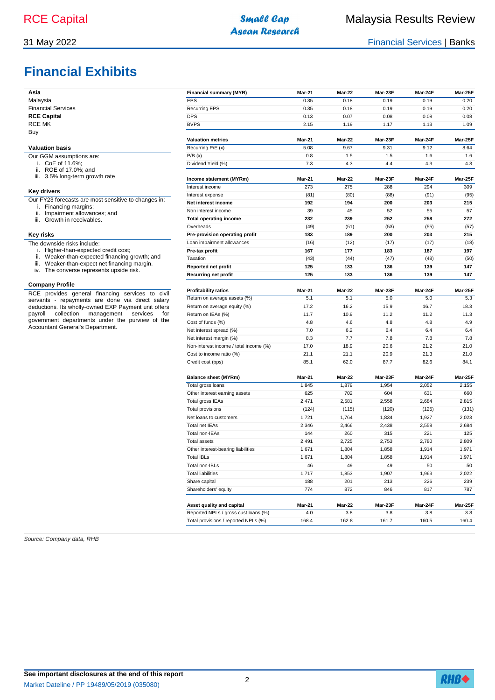# **Financial Exhibits**

31 May 2022 Financial Services | Banks

| Asia                                                                                                   | <b>Financial summary (MYR)</b>         | Mar-21 | Mar-22 | Mar-23F | Mar-24F | Mar-25F |
|--------------------------------------------------------------------------------------------------------|----------------------------------------|--------|--------|---------|---------|---------|
| Malaysia                                                                                               | <b>EPS</b>                             | 0.35   | 0.18   | 0.19    | 0.19    | 0.20    |
| <b>Financial Services</b>                                                                              | <b>Recurring EPS</b>                   | 0.35   | 0.18   | 0.19    | 0.19    | 0.20    |
| <b>RCE Capital</b>                                                                                     | <b>DPS</b>                             | 0.13   | 0.07   | 0.08    | 0.08    | 0.08    |
| <b>RCE MK</b>                                                                                          | <b>BVPS</b>                            | 2.15   | 1.19   | 1.17    | 1.13    | 1.09    |
| Buy                                                                                                    |                                        |        |        |         |         |         |
|                                                                                                        | <b>Valuation metrics</b>               | Mar-21 | Mar-22 | Mar-23F | Mar-24F | Mar-25F |
| <b>Valuation basis</b>                                                                                 | Recurring P/E (x)                      | 5.08   | 9.67   | 9.31    | 9.12    | 8.64    |
| Our GGM assumptions are:                                                                               | P/B(x)                                 | 0.8    | 1.5    | 1.5     | 1.6     | 1.6     |
| i. CoE of 11.6%;<br>ii. ROE of 17.0%; and                                                              | Dividend Yield (%)                     | 7.3    | 4.3    | 4.4     | 4.3     | 4.3     |
| iii. 3.5% long-term growth rate                                                                        | Income statement (MYRm)                | Mar-21 | Mar-22 | Mar-23F | Mar-24F | Mar-25F |
| <b>Key drivers</b>                                                                                     | Interest income                        | 273    | 275    | 288     | 294     | 309     |
|                                                                                                        | Interest expense                       | (81)   | (80)   | (88)    | (91)    | (95)    |
| Our FY23 forecasts are most sensitive to changes in:<br>i. Financing margins;                          | Net interest income                    | 192    | 194    | 200     | 203     | 215     |
| ii. Impairment allowances; and                                                                         | Non interest income                    | 39     | 45     | 52      | 55      | 57      |
| iii. Growth in receivables.                                                                            | <b>Total operating income</b>          | 232    | 239    | 252     | 258     | 272     |
|                                                                                                        | Overheads                              | (49)   | (51)   | (53)    | (55)    | (57)    |
| Key risks                                                                                              | Pre-provision operating profit         | 183    | 189    | 200     | 203     | 215     |
| The downside risks include:                                                                            | Loan impairment allowances             | (16)   | (12)   | (17)    | (17)    | (18)    |
| i. Higher-than-expected credit cost;                                                                   | Pre-tax profit                         | 167    | 177    | 183     | 187     | 197     |
| ii. Weaker-than-expected financing growth; and                                                         | Taxation                               | (43)   | (44)   | (47)    | (48)    | (50)    |
| Weaker-than-expect net financing margin.<br>Ш.<br>iv. The converse represents upside risk.             | <b>Reported net profit</b>             | 125    | 133    | 136     | 139     | 147     |
|                                                                                                        | <b>Recurring net profit</b>            | 125    | 133    | 136     | 139     | 147     |
| <b>Company Profile</b>                                                                                 |                                        |        |        |         |         |         |
| RCE provides general financing services to civil                                                       | <b>Profitability ratios</b>            | Mar-21 | Mar-22 | Mar-23F | Mar-24F | Mar-25F |
| servants - repayments are done via direct salary                                                       | Return on average assets (%)           | 5.1    | 5.1    | 5.0     | 5.0     | 5.3     |
| deductions. Its wholly-owned EXP Payment unit offers                                                   | Return on average equity (%)           | 17.2   | 16.2   | 15.9    | 16.7    | 18.3    |
| payroll<br>collection management<br>services<br>for<br>government departments under the purview of the | Return on IEAs (%)                     | 11.7   | 10.9   | 11.2    | 11.2    | 11.3    |
| Accountant General's Department.                                                                       | Cost of funds (%)                      | 4.8    | 4.6    | 4.8     | 4.8     | 4.9     |
|                                                                                                        | Net interest spread (%)                | 7.0    | 6.2    | 6.4     | 6.4     | 6.4     |
|                                                                                                        | Net interest margin (%)                | 8.3    | 7.7    | 7.8     | 7.8     | 7.8     |
|                                                                                                        | Non-interest income / total income (%) | 17.0   | 18.9   | 20.6    | 21.2    | 21.0    |
|                                                                                                        | Cost to income ratio (%)               | 21.1   | 21.1   | 20.9    | 21.3    | 21.0    |
|                                                                                                        | Credit cost (bps)                      | 85.1   | 62.0   | 87.7    | 82.6    | 84.1    |
|                                                                                                        | <b>Balance sheet (MYRm)</b>            | Mar-21 | Mar-22 | Mar-23F | Mar-24F | Mar-25F |
|                                                                                                        | Total gross loans                      | 1,845  | 1,879  | 1,954   | 2,052   | 2,155   |
|                                                                                                        | Other interest earning assets          | 625    | 702    | 604     | 631     | 660     |
|                                                                                                        | Total gross IEAs                       | 2,471  | 2,581  | 2,558   | 2,684   | 2,815   |
|                                                                                                        | Total provisions                       | (124)  | (115)  | (120)   | (125)   | (131)   |
|                                                                                                        | Net loans to customers                 | 1,721  | 1,764  | 1,834   | 1,927   | 2,023   |
|                                                                                                        | Total net IEAs                         | 2,346  | 2,466  | 2,438   | 2,558   | 2,684   |
|                                                                                                        | Total non-IEAs                         | 144    | 260    | 315     | 221     | 125     |
|                                                                                                        | <b>Total assets</b>                    | 2,491  | 2,725  | 2,753   | 2,780   | 2,809   |
|                                                                                                        | Other interest-bearing liabilities     | 1,671  | 1,804  | 1,858   | 1,914   | 1,971   |
|                                                                                                        | <b>Total IBLs</b>                      | 1,671  | 1,804  | 1,858   | 1,914   | 1,971   |
|                                                                                                        | Total non-IBLs                         | 46     | 49     | 49      | 50      | 50      |
|                                                                                                        | <b>Total liabilities</b>               | 1,717  | 1,853  | 1,907   | 1,963   | 2,022   |
|                                                                                                        | Share capital                          | 188    | 201    | 213     | 226     | 239     |
|                                                                                                        | Shareholders' equity                   | 774    | 872    | 846     | 817     | 787     |
|                                                                                                        | Asset quality and capital              | Mar-21 | Mar-22 | Mar-23F | Mar-24F | Mar-25F |
|                                                                                                        | Reported NPLs / gross cust loans (%)   | 4.0    | 3.8    | 3.8     | 3.8     | 3.8     |
|                                                                                                        | Total provisions / reported NPLs (%)   | 168.4  | 162.8  | 161.7   | 160.5   | 160.4   |

**Asean Research** 

*Source: Company data, RHB*



2

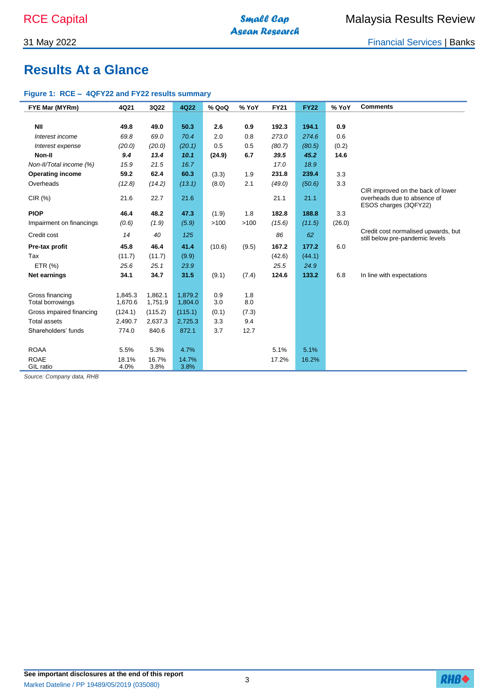31 May 2022 Financial Services | Banks

# **Results At a Glance**

### **Figure 1: RCE – 4QFY22 and FY22 results summary**

| FYE Mar (MYRm)                                                                          | 4Q21    | 3Q22    | 4Q22    | % QoQ  | % YoY | <b>FY21</b> | <b>FY22</b> | % YoY  | <b>Comments</b>                                                        |
|-----------------------------------------------------------------------------------------|---------|---------|---------|--------|-------|-------------|-------------|--------|------------------------------------------------------------------------|
|                                                                                         |         |         |         |        |       |             |             |        |                                                                        |
| <b>NII</b>                                                                              | 49.8    | 49.0    | 50.3    | 2.6    | 0.9   | 192.3       | 194.1       | 0.9    |                                                                        |
| Interest income                                                                         | 69.8    | 69.0    | 70.4    | 2.0    | 0.8   | 273.0       | 274.6       | 0.6    |                                                                        |
| Interest expense                                                                        | (20.0)  | (20.0)  | (20.1)  | 0.5    | 0.5   | (80.7)      | (80.5)      | (0.2)  |                                                                        |
| Non-II                                                                                  | 9.4     | 13.4    | 10.1    | (24.9) | 6.7   | 39.5        | 45.2        | 14.6   |                                                                        |
| Non-II/Total income (%)                                                                 | 15.9    | 21.5    | 16.7    |        |       | 17.0        | 18.9        |        |                                                                        |
| <b>Operating income</b>                                                                 | 59.2    | 62.4    | 60.3    | (3.3)  | 1.9   | 231.8       | 239.4       | 3.3    |                                                                        |
| Overheads                                                                               | (12.8)  | (14.2)  | (13.1)  | (8.0)  | 2.1   | (49.0)      | (50.6)      | 3.3    |                                                                        |
| CIR (%)                                                                                 | 21.6    | 22.7    | 21.6    |        |       | 21.1        | 21.1        |        | CIR improved on the back of lower<br>overheads due to absence of       |
|                                                                                         |         |         |         |        |       |             |             |        | ESOS charges (3QFY22)                                                  |
| <b>PIOP</b>                                                                             | 46.4    | 48.2    | 47.3    | (1.9)  | 1.8   | 182.8       | 188.8       | 3.3    |                                                                        |
| Impairment on financings                                                                | (0.6)   | (1.9)   | (5.9)   | >100   | >100  | (15.6)      | (11.5)      | (26.0) |                                                                        |
| Credit cost                                                                             | 14      | 40      | 125     |        |       | 86          | 62          |        | Credit cost normalised upwards, but<br>still below pre-pandemic levels |
| Pre-tax profit                                                                          | 45.8    | 46.4    | 41.4    | (10.6) | (9.5) | 167.2       | 177.2       | 6.0    |                                                                        |
| Tax                                                                                     | (11.7)  | (11.7)  | (9.9)   |        |       | (42.6)      | (44.1)      |        |                                                                        |
| ETR (%)                                                                                 | 25.6    | 25.1    | 23.9    |        |       | 25.5        | 24.9        |        |                                                                        |
| Net earnings                                                                            | 34.1    | 34.7    | 31.5    | (9.1)  | (7.4) | 124.6       | 133.2       | 6.8    | In line with expectations                                              |
|                                                                                         |         |         |         |        |       |             |             |        |                                                                        |
| Gross financing                                                                         | 1,845.3 | 1.862.1 | 1.879.2 | 0.9    | 1.8   |             |             |        |                                                                        |
| Total borrowings                                                                        | 1,670.6 | 1,751.9 | 1,804.0 | 3.0    | 8.0   |             |             |        |                                                                        |
| Gross impaired financing                                                                | (124.1) | (115.2) | (115.1) | (0.1)  | (7.3) |             |             |        |                                                                        |
| <b>Total assets</b>                                                                     | 2,490.7 | 2,637.3 | 2,725.3 | 3.3    | 9.4   |             |             |        |                                                                        |
| Shareholders' funds                                                                     | 774.0   | 840.6   | 872.1   | 3.7    | 12.7  |             |             |        |                                                                        |
|                                                                                         |         |         |         |        |       |             |             |        |                                                                        |
| <b>ROAA</b>                                                                             | 5.5%    | 5.3%    | 4.7%    |        |       | 5.1%        | 5.1%        |        |                                                                        |
| <b>ROAE</b>                                                                             | 18.1%   | 16.7%   | 14.7%   |        |       | 17.2%       | 16.2%       |        |                                                                        |
| GIL ratio<br>$\overline{1}$ $\overline{2}$ $\overline{3}$ $\overline{1}$ $\overline{1}$ | 4.0%    | 3.8%    | 3.8%    |        |       |             |             |        |                                                                        |

*Source: Company data, RHB* 

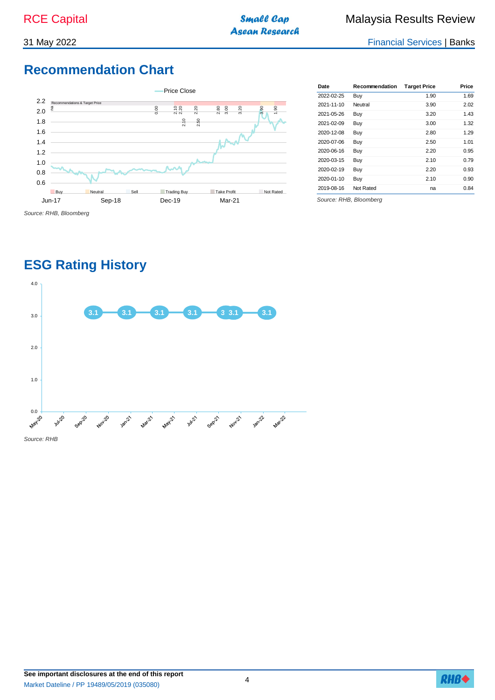**Asean Research** 

31 May 2022 Financial Services | Banks

# **Recommendation Chart**



| 2022-02-25<br>1.90<br>Buy<br>Neutral<br>2021-11-10<br>3.90<br>2021-05-26<br>3.20<br>Buy<br>2021-02-09<br>3.00<br>Buy<br>2020-12-08<br>2.80<br>Buy<br>2020-07-06<br>2.50<br>1.01<br>Buy<br>2020-06-16<br>2.20<br>Buy<br>2020-03-15<br>2.10<br>Buy<br>2020-02-19<br>2.20<br>Buy<br>2020-01-10<br>Buy<br>2.10<br>Not Rated<br>2019-08-16<br>na | Date | Recommendation | <b>Target Price</b> | Price |
|---------------------------------------------------------------------------------------------------------------------------------------------------------------------------------------------------------------------------------------------------------------------------------------------------------------------------------------------|------|----------------|---------------------|-------|
|                                                                                                                                                                                                                                                                                                                                             |      |                |                     | 1.69  |
|                                                                                                                                                                                                                                                                                                                                             |      |                |                     | 2.02  |
|                                                                                                                                                                                                                                                                                                                                             |      |                |                     | 1.43  |
|                                                                                                                                                                                                                                                                                                                                             |      |                |                     | 1.32  |
|                                                                                                                                                                                                                                                                                                                                             |      |                |                     | 1.29  |
|                                                                                                                                                                                                                                                                                                                                             |      |                |                     |       |
|                                                                                                                                                                                                                                                                                                                                             |      |                |                     | 0.95  |
|                                                                                                                                                                                                                                                                                                                                             |      |                |                     | 0.79  |
|                                                                                                                                                                                                                                                                                                                                             |      |                |                     | 0.93  |
|                                                                                                                                                                                                                                                                                                                                             |      |                |                     | 0.90  |
|                                                                                                                                                                                                                                                                                                                                             |      |                |                     | 0.84  |

*Source: RHB, Bloomberg*

# **ESG Rating History**



**See important disclosures at the end of this report** Market Dateline / PP 19489/05/2019 (035080)

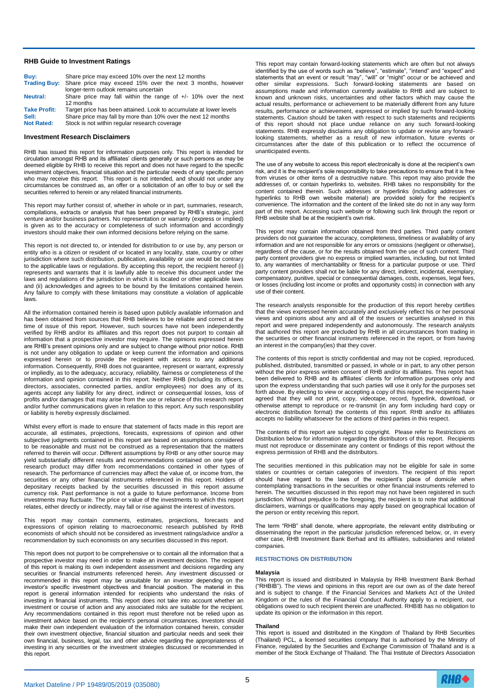#### **RHB Guide to Investment Ratings**

| Buv:                | Share price may exceed 10% over the next 12 months                      |
|---------------------|-------------------------------------------------------------------------|
|                     | Trading Buy: Share price may exceed 15% over the next 3 months, however |
|                     | longer-term outlook remains uncertain                                   |
| <b>Neutral:</b>     | Share price may fall within the range of $+/-$ 10% over the next        |
|                     | 12 months                                                               |
| <b>Take Profit:</b> | Target price has been attained. Look to accumulate at lower levels      |
| Sell:               | Share price may fall by more than 10% over the next 12 months           |
| <b>Not Rated:</b>   | Stock is not within regular research coverage                           |

#### **Investment Research Disclaimers**

RHB has issued this report for information purposes only. This report is intended for circulation amongst RHB and its affiliates' clients generally or such persons as may be deemed eligible by RHB to receive this report and does not have regard to the specific investment objectives, financial situation and the particular needs of any specific person who may receive this report. This report is not intended, and should not under any circumstances be construed as, an offer or a solicitation of an offer to buy or sell the securities referred to herein or any related financial instruments.

This report may further consist of, whether in whole or in part, summaries, research, compilations, extracts or analysis that has been prepared by RHB's strategic, joint venture and/or business partners. No representation or warranty (express or implied) is given as to the accuracy or completeness of such information and accordingly investors should make their own informed decisions before relying on the same.

This report is not directed to, or intended for distribution to or use by, any person or entity who is a citizen or resident of or located in any locality, state, country or other jurisdiction where such distribution, publication, availability or use would be contrary to the applicable laws or regulations. By accepting this report, the recipient hereof (i) represents and warrants that it is lawfully able to receive this document under the laws and regulations of the jurisdiction in which it is located or other applicable laws and (ii) acknowledges and agrees to be bound by the limitations contained herein. Any failure to comply with these limitations may constitute a violation of applicable laws.

All the information contained herein is based upon publicly available information and has been obtained from sources that RHB believes to be reliable and correct at the time of issue of this report. However, such sources have not been independently verified by RHB and/or its affiliates and this report does not purport to contain all information that a prospective investor may require. The opinions expressed herein are RHB's present opinions only and are subject to change without prior notice. RHB is not under any obligation to update or keep current the information and opinions expressed herein or to provide the recipient with access to any additional information. Consequently, RHB does not guarantee, represent or warrant, expressly or impliedly, as to the adequacy, accuracy, reliability, fairness or completeness of the information and opinion contained in this report. Neither RHB (including its officers, directors, associates, connected parties, and/or employees) nor does any of its agents accept any liability for any direct, indirect or consequential losses, loss of profits and/or damages that may arise from the use or reliance of this research report and/or further communications given in relation to this report. Any such responsibility or liability is hereby expressly disclaimed.

Whilst every effort is made to ensure that statement of facts made in this report are accurate, all estimates, projections, forecasts, expressions of opinion and other subjective judgments contained in this report are based on assumptions considered to be reasonable and must not be construed as a representation that the matters referred to therein will occur. Different assumptions by RHB or any other source may yield substantially different results and recommendations contained on one type of research product may differ from recommendations contained in other types of research. The performance of currencies may affect the value of, or income from, the securities or any other financial instruments referenced in this report. Holders of depositary receipts backed by the securities discussed in this report assume currency risk. Past performance is not a guide to future performance. Income from investments may fluctuate. The price or value of the investments to which this report relates, either directly or indirectly, may fall or rise against the interest of investors.

This report may contain comments, estimates, projections, forecasts and expressions of opinion relating to macroeconomic research published by RHB economists of which should not be considered as investment ratings/advice and/or a recommendation by such economists on any securities discussed in this report.

This report does not purport to be comprehensive or to contain all the information that a prospective investor may need in order to make an investment decision. The recipient of this report is making its own independent assessment and decisions regarding any securities or financial instruments referenced herein. Any investment discussed or recommended in this report may be unsuitable for an investor depending on the investor's specific investment objectives and financial position. The material in this report is general information intended for recipients who understand the risks of investing in financial instruments. This report does not take into account whether an investment or course of action and any associated risks are suitable for the recipient. Any recommendations contained in this report must therefore not be relied upon as investment advice based on the recipient's personal circumstances. Investors should make their own independent evaluation of the information contained herein, consider their own investment objective, financial situation and particular needs and seek their own financial, business, legal, tax and other advice regarding the appropriateness of investing in any securities or the investment strategies discussed or recommended in this report.

This report may contain forward-looking statements which are often but not always identified by the use of words such as "believe", "estimate", "intend" and "expect" and statements that an event or result "may", "will" or "might" occur or be achieved and other similar expressions. Such forward-looking statements are based on assumptions made and information currently available to RHB and are subject to known and unknown risks, uncertainties and other factors which may cause the actual results, performance or achievement to be materially different from any future results, performance or achievement, expressed or implied by such forward-looking statements. Caution should be taken with respect to such statements and recipients of this report should not place undue reliance on any such forward-looking statements. RHB expressly disclaims any obligation to update or revise any forwardlooking statements, whether as a result of new information, future events or circumstances after the date of this publication or to reflect the occurrence of unanticipated events.

The use of any website to access this report electronically is done at the recipient's own risk, and it is the recipient's sole responsibility to take precautions to ensure that it is free from viruses or other items of a destructive nature. This report may also provide the addresses of, or contain hyperlinks to, websites. RHB takes no responsibility for the content contained therein. Such addresses or hyperlinks (including addresses or hyperlinks to RHB own website material) are provided solely for the recipient's convenience. The information and the content of the linked site do not in any way form part of this report. Accessing such website or following such link through the report or RHB website shall be at the recipient's own risk.

This report may contain information obtained from third parties. Third party content providers do not guarantee the accuracy, completeness, timeliness or availability of any information and are not responsible for any errors or omissions (negligent or otherwise), regardless of the cause, or for the results obtained from the use of such content. Third party content providers give no express or implied warranties, including, but not limited to, any warranties of merchantability or fitness for a particular purpose or use. Third party content providers shall not be liable for any direct, indirect, incidental, exemplary, compensatory, punitive, special or consequential damages, costs, expenses, legal fees, or losses (including lost income or profits and opportunity costs) in connection with any use of their content.

The research analysts responsible for the production of this report hereby certifies that the views expressed herein accurately and exclusively reflect his or her personal views and opinions about any and all of the issuers or securities analysed in this report and were prepared independently and autonomously. The research analysts that authored this report are precluded by RHB in all circumstances from trading in the securities or other financial instruments referenced in the report, or from having an interest in the company(ies) that they cover.

The contents of this report is strictly confidential and may not be copied, reproduced, published, distributed, transmitted or passed, in whole or in part, to any other person without the prior express written consent of RHB and/or its affiliates. This report has been delivered to RHB and its affiliates' clients for information purposes only and upon the express understanding that such parties will use it only for the purposes set forth above. By electing to view or accepting a copy of this report, the recipients have agreed that they will not print, copy, videotape, record, hyperlink, download, or otherwise attempt to reproduce or re-transmit (in any form including hard copy or electronic distribution format) the contents of this report. RHB and/or its affiliates accepts no liability whatsoever for the actions of third parties in this respect.

The contents of this report are subject to copyright. Please refer to Restrictions on Distribution below for information regarding the distributors of this report. Recipients must not reproduce or disseminate any content or findings of this report without the express permission of RHB and the distributors.

The securities mentioned in this publication may not be eligible for sale in some states or countries or certain categories of investors. The recipient of this report should have regard to the laws of the recipient's place of domicile when contemplating transactions in the securities or other financial instruments referred to herein. The securities discussed in this report may not have been registered in such jurisdiction. Without prejudice to the foregoing, the recipient is to note that additional disclaimers, warnings or qualifications may apply based on geographical location of the person or entity receiving this report.

The term "RHB" shall denote, where appropriate, the relevant entity distributing or disseminating the report in the particular jurisdiction referenced below, or, in every other case, RHB Investment Bank Berhad and its affiliates, subsidiaries and related companies.

#### **RESTRICTIONS ON DISTRIBUTION**

#### **Malaysia**

This report is issued and distributed in Malaysia by RHB Investment Bank Berhad ("RHBIB"). The views and opinions in this report are our own as of the date hereof and is subject to change. If the Financial Services and Markets Act of the United Kingdom or the rules of the Financial Conduct Authority apply to a recipient, our obligations owed to such recipient therein are unaffected. RHBIB has no obligation to update its opinion or the information in this report.

#### **Thailand**

This report is issued and distributed in the Kingdom of Thailand by RHB Securities (Thailand) PCL, a licensed securities company that is authorised by the Ministry of Finance, regulated by the Securities and Exchange Commission of Thailand and is a member of the Stock Exchange of Thailand. The Thai Institute of Directors Association

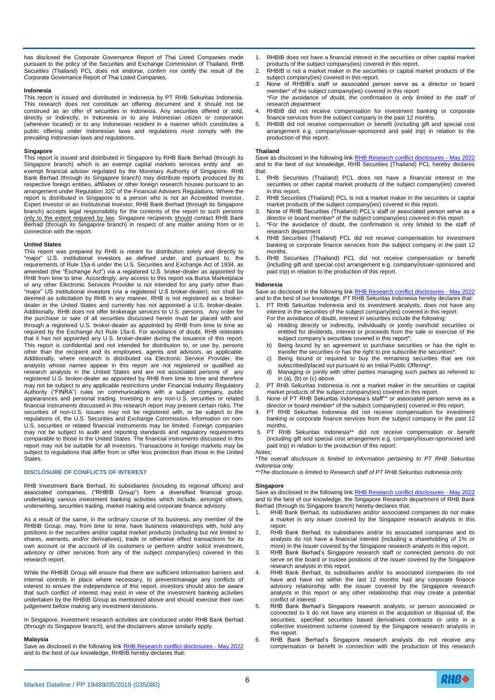has disclosed the Corporate Governance Report of Thai Listed Companies made pursuant to the policy of the Securities and Exchange Commission of Thailand. RHB Securities (Thailand) PCL does not endorse, confirm nor certify the result of the Corporate Governance Report of Thai Listed Companies.

#### **Indonesia**

This report is issued and distributed in Indonesia by PT RHB Sekuritas Indonesia. This research does not constitute an offering document and it should not be construed as an offer of securities in Indonesia. Any securities offered or sold, directly or indirectly, in Indonesia or to any Indonesian citizen or corporation (wherever located) or to any Indonesian resident in a manner which constitutes a public offering under Indonesian laws and regulations must comply with the prevailing Indonesian laws and regulations.

#### **Singapore**

This report is issued and distributed in Singapore by RHB Bank Berhad (through its Singapore branch) which is an exempt capital markets services entity and an exempt financial adviser regulated by the Monetary Authority of Singapore. RHB Bank Berhad (through its Singapore branch) may distribute reports produced by its respective foreign entities, affiliates or other foreign research houses pursuant to an arrangement under Regulation 32C of the Financial Advisers Regulations. Where the report is distributed in Singapore to a person who is not an Accredited Investor, Expert Investor or an Institutional Investor, RHB Bank Berhad (through its Singapore branch) accepts legal responsibility for the contents of the report to such persons only to the extent required by law. Singapore recipients should contact RHB Bank Berhad (through its Singapore branch) in respect of any matter arising from or in connection with the report.

#### **United States**

This report was prepared by RHB is meant for distribution solely and directly to "major" U.S. institutional investors as defined under, and pursuant to, the requirements of Rule 15a-6 under the U.S. Securities and Exchange Act of 1934, as amended (the "Exchange Act") via a registered U.S. broker-dealer as appointed by RHB from time to time. Accordingly, any access to this report via Bursa Marketplace or any other Electronic Services Provider is not intended for any party other than "major" US institutional investors (via a registered U.S broker-dealer), nor shall be deemed as solicitation by RHB in any manner. RHB is not registered as a brokerdealer in the United States and currently has not appointed a U.S. broker-dealer. Additionally, RHB does not offer brokerage services to U.S. persons. Any order for the purchase or sale of all securities discussed herein must be placed with and through a registered U.S. broker-dealer as appointed by RHB from time to time as required by the Exchange Act Rule 15a-6. For avoidance of doubt, RHB reiterates that it has not appointed any U.S. broker-dealer during the issuance of this report. This report is confidential and not intended for distribution to, or use by, persons other than the recipient and its employees, agents and advisors, as applicable. Additionally, where research is distributed via Electronic Service Provider, the analysts whose names appear in this report are not registered or qualified as research analysts in the United States and are not associated persons of any registered U.S. broker-dealer as appointed by RHB from time to time and therefore may not be subject to any applicable restrictions under Financial Industry Regulatory Authority ("FINRA") rules on communications with a subject company, public appearances and personal trading. Investing in any non-U.S. securities or related financial instruments discussed in this research report may present certain risks. The securities of non-U.S. issuers may not be registered with, or be subject to the regulations of, the U.S. Securities and Exchange Commission. Information on non-U.S. securities or related financial instruments may be limited. Foreign companies may not be subject to audit and reporting standards and regulatory requirements comparable to those in the United States. The financial instruments discussed in this report may not be suitable for all investors. Transactions in foreign markets may be subject to regulations that differ from or offer less protection than those in the United States.

#### **DISCLOSURE OF CONFLICTS OF INTEREST**

RHB Investment Bank Berhad, its subsidiaries (including its regional offices) and associated companies, ("RHBIB Group") form a diversified financial group, undertaking various investment banking activities which include, amongst others, underwriting, securities trading, market making and corporate finance advisory.

As a result of the same, in the ordinary course of its business, any member of the RHBIB Group, may, from time to time, have business relationships with, hold any positions in the securities and/or capital market products (including but not limited to shares, warrants, and/or derivatives), trade or otherwise effect transactions for its own account or the account of its customers or perform and/or solicit investment, advisory or other services from any of the subject company(ies) covered in this research report.

While the RHBIB Group will ensure that there are sufficient information barriers and internal controls in place where necessary, to prevent/manage any conflicts of interest to ensure the independence of this report, investors should also be aware that such conflict of interest may exist in view of the investment banking activities undertaken by the RHBIB Group as mentioned above and should exercise their own judgement before making any investment decisions.

In Singapore, investment research activities are conducted under RHB Bank Berhad (through its Singapore branch), and the disclaimers above similarly apply.

#### **Malaysia**

Save as disclosed in the following link [RHB Research conflict disclosures -](https://research.rhbtradesmart.com/view-file/hash/60202997979171862789f0b5b7fe) May 2022 and to the best of our knowledge, RHBIB hereby declares that:

- 1. RHBIB does not have a financial interest in the securities or other capital market products of the subject company(ies) covered in this report.
- 2. RHBIB is not a market maker in the securities or capital market products of the subject company(ies) covered in this report.
- *3.* None of RHBIB's staff or associated person serve as a director or board member\* of the subject company(ies) covered in this report *\*For the avoidance of doubt, the confirmation is only limited to the staff of*
- *research department* 4. RHBIB did not receive compensation for investment banking or corporate finance services from the subject company in the past 12 months.
- 5. RHBIB did not receive compensation or benefit (including gift and special cost arrangement e.g. company/issuer-sponsored and paid trip) in relation to the production of this report.

#### **Thailand**

Save as disclosed in the following link [RHB Research conflict disclosures -](https://research.rhbtradesmart.com/view-file/hash/60202997979171862789f0b5b7fe) May 2022 and to the best of our knowledge, RHB Securities (Thailand) PCL hereby declares that:

- 1. RHB Securities (Thailand) PCL does not have a financial interest in the securities or other capital market products of the subject company(ies) covered in this report.
- 2. RHB Securities (Thailand) PCL is not a market maker in the securities or capital market products of the subject company(ies) covered in this report.
- 3. None of RHB Securities (Thailand) PCL's staff or associated person serve as a director or board member\* of the subject company(ies) covered in this report
- 1. \*For the avoidance of doubt, the confirmation is only limited to the staff of research department
- 4. RHB Securities (Thailand) PCL did not receive compensation for investment banking or corporate finance services from the subject company in the past 12 months.
- 5. RHB Securities (Thailand) PCL did not receive compensation or benefit (including gift and special cost arrangement e.g. company/issuer-sponsored and paid trip) in relation to the production of this report.

#### **Indonesia**

Save as disclosed in the following link [RHB Research conflict disclosures -](https://research.rhbtradesmart.com/view-file/hash/60202997979171862789f0b5b7fe) May 2022 and to the best of our knowledge, PT RHB Sekuritas Indonesia hereby declares that:

- PT RHB Sekuritas Indonesia and its investment analysts, does not have any interest in the securities of the subject company(ies) covered in this report.
	- For the avoidance of doubt, interest in securities include the following:
	- a) Holding directly or indirectly, individually or jointly own/hold securities or entitled for dividends, interest or proceeds from the sale or exercise of the subject company's securities covered in this report\*;
	- b) Being bound by an agreement to purchase securities or has the right to transfer the securities or has the right to pre subscribe the securities\*
	- c) Being bound or required to buy the remaining securities that are not subscribed/placed out pursuant to an Initial Public Offering\*.
	- d) Managing or jointly with other parties managing such parties as referred to in (a), (b) or (c) above.
- 2. PT RHB Sekuritas Indonesia is not a market maker in the securities or capital market products of the subject company(ies) covered in this report.
- 3. None of PT RHB Sekuritas Indonesia's staff\*\* or associated person serve as a director or board member\* of the subject company(ies) covered in this report.
- 4. PT RHB Sekuritas Indonesia did not receive compensation for investment banking or corporate finance services from the subject company in the past 12 months.
- 5. PT RHB Sekuritas Indonesia\*\* did not receive compensation or benefit (including gift and special cost arrangement e.g. company/issuer-sponsored and paid trip) in relation to the production of this report: *Notes:*

*\*The overall disclosure is limited to information pertaining to PT RHB Sekuritas Indonesia only.*

*\*\*The disclosure is limited to Research staff of PT RHB Sekuritas Indonesia only.*

#### **Singapore**

Save as disclosed in the following link [RHB Research conflict disclosures -](https://research.rhbtradesmart.com/view-file/hash/60202997979171862789f0b5b7fe) May 2022 and to the best of our knowledge, the Singapore Research department of RHB Bank Berhad (through its Singapore branch) hereby declares that:

- RHB Bank Berhad, its subsidiaries and/or associated companies do not make a market in any issuer covered by the Singapore research analysts in this report.
- 2. RHB Bank Berhad, its subsidiaries and/or its associated companies and its analysts do not have a financial interest (including a shareholding of 1% or more) in the issuer covered by the Singapore research analysts in this report.
- 3. RHB Bank Berhad's Singapore research staff or connected persons do not serve on the board or trustee positions of the issuer covered by the Singapore research analysts in this report.
- 4. RHB Bank Berhad, its subsidiaries and/or its associated companies do not have and have not within the last 12 months had any corporate finance advisory relationship with the issuer covered by the Singapore research analysts in this report or any other relationship that may create a potential conflict of interest.
- 5. RHB Bank Berhad's Singapore research analysts, or person associated or connected to it do not have any interest in the acquisition or disposal of, the securities, specified securities based derivatives contracts or units in a collective investment scheme covered by the Singapore research analysts in this report.
- 6. RHB Bank Berhad's Singapore research analysts do not receive any compensation or benefit in connection with the production of this research